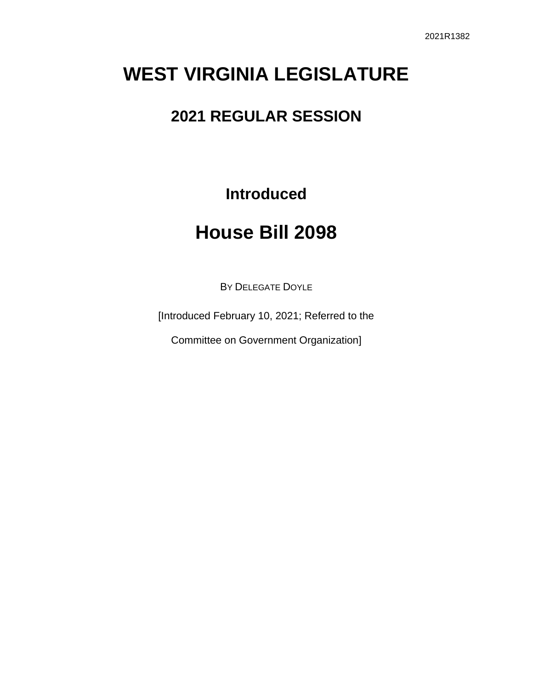# **WEST VIRGINIA LEGISLATURE**

# **2021 REGULAR SESSION**

**Introduced**

# **House Bill 2098**

BY DELEGATE DOYLE

[Introduced February 10, 2021; Referred to the

Committee on Government Organization]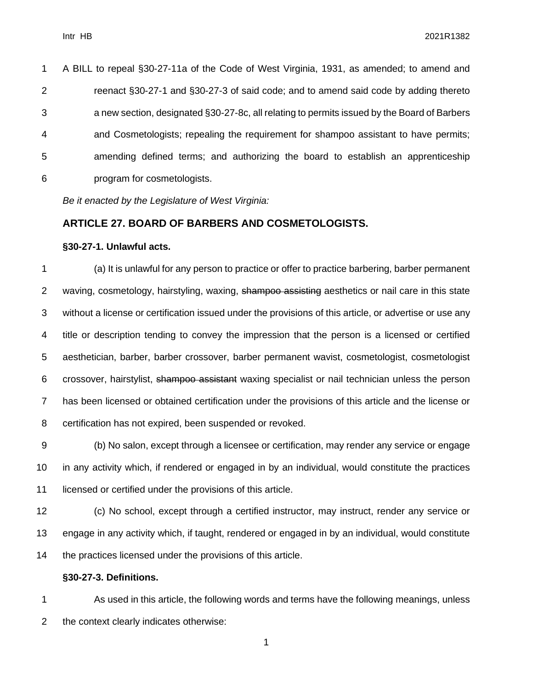| 1              | A BILL to repeal §30-27-11a of the Code of West Virginia, 1931, as amended; to amend and    |
|----------------|---------------------------------------------------------------------------------------------|
| $\overline{2}$ | reenact §30-27-1 and §30-27-3 of said code; and to amend said code by adding thereto        |
| 3              | a new section, designated §30-27-8c, all relating to permits issued by the Board of Barbers |
| $\overline{4}$ | and Cosmetologists; repealing the requirement for shampoo assistant to have permits;        |
| 5              | amending defined terms; and authorizing the board to establish an apprenticeship            |
| 6              | program for cosmetologists.                                                                 |

*Be it enacted by the Legislature of West Virginia:*

# **ARTICLE 27. BOARD OF BARBERS AND COSMETOLOGISTS.**

#### **§30-27-1. Unlawful acts.**

 (a) It is unlawful for any person to practice or offer to practice barbering, barber permanent 2 waving, cosmetology, hairstyling, waxing, shampoo assisting aesthetics or nail care in this state without a license or certification issued under the provisions of this article, or advertise or use any title or description tending to convey the impression that the person is a licensed or certified aesthetician, barber, barber crossover, barber permanent wavist, cosmetologist, cosmetologist crossover, hairstylist, shampoo assistant waxing specialist or nail technician unless the person has been licensed or obtained certification under the provisions of this article and the license or certification has not expired, been suspended or revoked.

 (b) No salon, except through a licensee or certification, may render any service or engage in any activity which, if rendered or engaged in by an individual, would constitute the practices licensed or certified under the provisions of this article.

 (c) No school, except through a certified instructor, may instruct, render any service or engage in any activity which, if taught, rendered or engaged in by an individual, would constitute the practices licensed under the provisions of this article.

### **§30-27-3. Definitions.**

 As used in this article, the following words and terms have the following meanings, unless the context clearly indicates otherwise: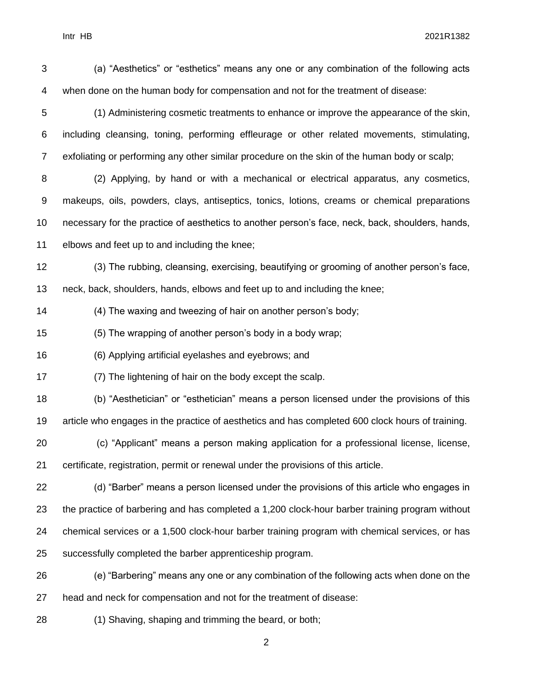Intr HB 2021R1382

| 3              | (a) "Aesthetics" or "esthetics" means any one or any combination of the following acts           |
|----------------|--------------------------------------------------------------------------------------------------|
| 4              | when done on the human body for compensation and not for the treatment of disease:               |
| 5              | (1) Administering cosmetic treatments to enhance or improve the appearance of the skin,          |
| 6              | including cleansing, toning, performing effleurage or other related movements, stimulating,      |
| $\overline{7}$ | exfoliating or performing any other similar procedure on the skin of the human body or scalp;    |
| 8              | (2) Applying, by hand or with a mechanical or electrical apparatus, any cosmetics,               |
| 9              | makeups, oils, powders, clays, antiseptics, tonics, lotions, creams or chemical preparations     |
| 10             | necessary for the practice of aesthetics to another person's face, neck, back, shoulders, hands, |
| 11             | elbows and feet up to and including the knee;                                                    |
| 12             | (3) The rubbing, cleansing, exercising, beautifying or grooming of another person's face,        |
| 13             | neck, back, shoulders, hands, elbows and feet up to and including the knee;                      |
| 14             | (4) The waxing and tweezing of hair on another person's body;                                    |
| 15             | (5) The wrapping of another person's body in a body wrap;                                        |
| 16             | (6) Applying artificial eyelashes and eyebrows; and                                              |
| 17             | (7) The lightening of hair on the body except the scalp.                                         |
| 18             | (b) "Aesthetician" or "esthetician" means a person licensed under the provisions of this         |
| 19             | article who engages in the practice of aesthetics and has completed 600 clock hours of training. |
| 20             | (c) "Applicant" means a person making application for a professional license, license,           |
| 21             | certificate, registration, permit or renewal under the provisions of this article.               |
| 22             | (d) "Barber" means a person licensed under the provisions of this article who engages in         |
| 23             | the practice of barbering and has completed a 1,200 clock-hour barber training program without   |
| 24             | chemical services or a 1,500 clock-hour barber training program with chemical services, or has   |
| 25             | successfully completed the barber apprenticeship program.                                        |
| 26             | (e) "Barbering" means any one or any combination of the following acts when done on the          |
| 27             | head and neck for compensation and not for the treatment of disease:                             |
| 28             | (1) Shaving, shaping and trimming the beard, or both;                                            |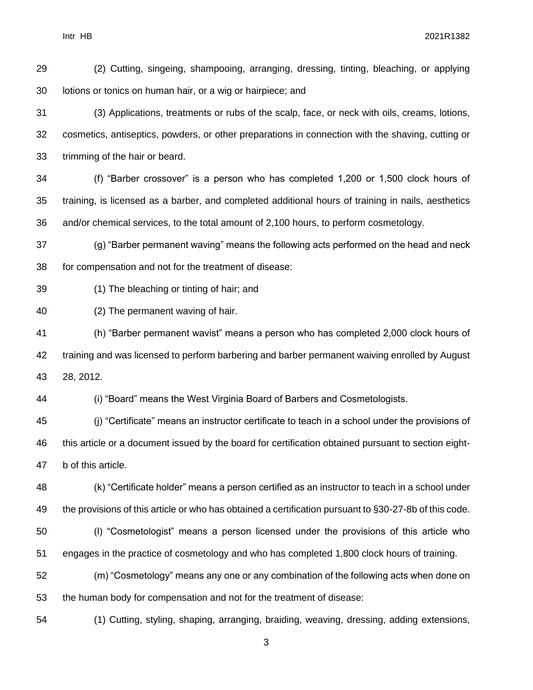Intr HB 2021R1382

 (2) Cutting, singeing, shampooing, arranging, dressing, tinting, bleaching, or applying lotions or tonics on human hair, or a wig or hairpiece; and

 (3) Applications, treatments or rubs of the scalp, face, or neck with oils, creams, lotions, cosmetics, antiseptics, powders, or other preparations in connection with the shaving, cutting or trimming of the hair or beard.

 (f) "Barber crossover" is a person who has completed 1,200 or 1,500 clock hours of training, is licensed as a barber, and completed additional hours of training in nails, aesthetics and/or chemical services, to the total amount of 2,100 hours, to perform cosmetology.

 (g) "Barber permanent waving" means the following acts performed on the head and neck for compensation and not for the treatment of disease:

### (1) The bleaching or tinting of hair; and

(2) The permanent waving of hair.

 (h) "Barber permanent wavist" means a person who has completed 2,000 clock hours of training and was licensed to perform barbering and barber permanent waiving enrolled by August 28, 2012.

(i) "Board" means the West Virginia Board of Barbers and Cosmetologists.

 (j) "Certificate" means an instructor certificate to teach in a school under the provisions of this article or a document issued by the board for certification obtained pursuant to section eight-b of this article.

 (k) "Certificate holder" means a person certified as an instructor to teach in a school under the provisions of this article or who has obtained a certification pursuant to §30-27-8b of this code.

 (l) "Cosmetologist" means a person licensed under the provisions of this article who engages in the practice of cosmetology and who has completed 1,800 clock hours of training.

 (m) "Cosmetology" means any one or any combination of the following acts when done on the human body for compensation and not for the treatment of disease:

(1) Cutting, styling, shaping, arranging, braiding, weaving, dressing, adding extensions,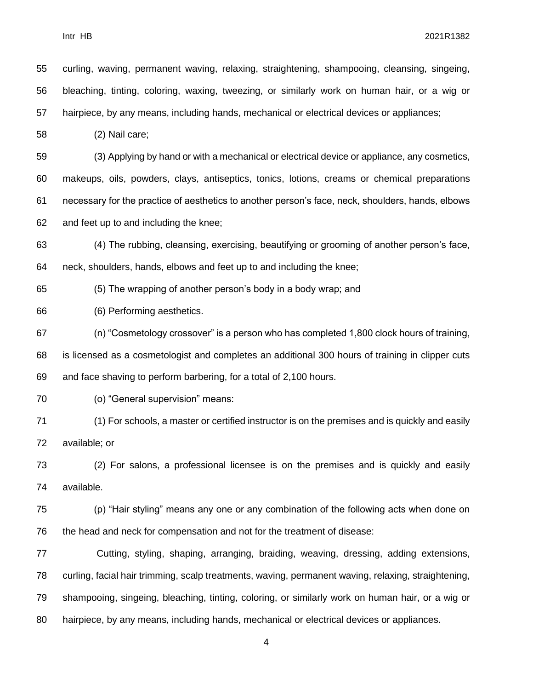curling, waving, permanent waving, relaxing, straightening, shampooing, cleansing, singeing, bleaching, tinting, coloring, waxing, tweezing, or similarly work on human hair, or a wig or hairpiece, by any means, including hands, mechanical or electrical devices or appliances; (2) Nail care; (3) Applying by hand or with a mechanical or electrical device or appliance, any cosmetics, makeups, oils, powders, clays, antiseptics, tonics, lotions, creams or chemical preparations necessary for the practice of aesthetics to another person's face, neck, shoulders, hands, elbows and feet up to and including the knee;

 (4) The rubbing, cleansing, exercising, beautifying or grooming of another person's face, neck, shoulders, hands, elbows and feet up to and including the knee;

(5) The wrapping of another person's body in a body wrap; and

(6) Performing aesthetics.

 (n) "Cosmetology crossover" is a person who has completed 1,800 clock hours of training, is licensed as a cosmetologist and completes an additional 300 hours of training in clipper cuts and face shaving to perform barbering, for a total of 2,100 hours.

(o) "General supervision" means:

 (1) For schools, a master or certified instructor is on the premises and is quickly and easily available; or

 (2) For salons, a professional licensee is on the premises and is quickly and easily available.

 (p) "Hair styling" means any one or any combination of the following acts when done on the head and neck for compensation and not for the treatment of disease:

 Cutting, styling, shaping, arranging, braiding, weaving, dressing, adding extensions, curling, facial hair trimming, scalp treatments, waving, permanent waving, relaxing, straightening, shampooing, singeing, bleaching, tinting, coloring, or similarly work on human hair, or a wig or hairpiece, by any means, including hands, mechanical or electrical devices or appliances.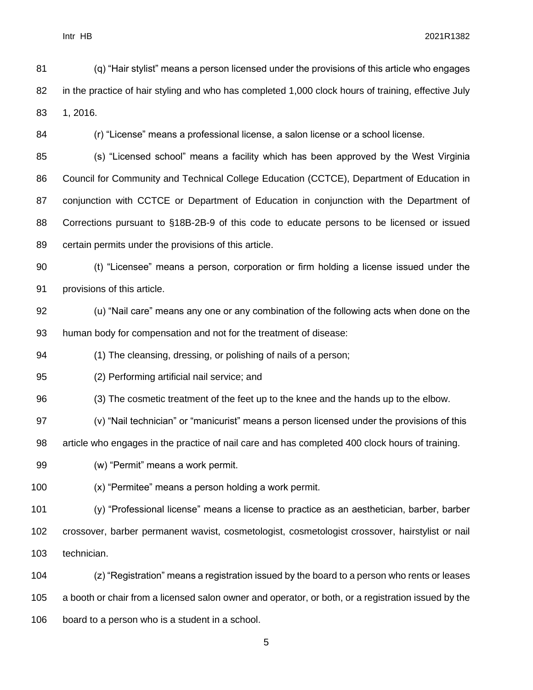(q) "Hair stylist" means a person licensed under the provisions of this article who engages 82 in the practice of hair styling and who has completed 1,000 clock hours of training, effective July 1, 2016.

(r) "License" means a professional license, a salon license or a school license.

 (s) "Licensed school" means a facility which has been approved by the West Virginia Council for Community and Technical College Education (CCTCE), Department of Education in 87 conjunction with CCTCE or Department of Education in conjunction with the Department of Corrections pursuant to §18B-2B-9 of this code to educate persons to be licensed or issued certain permits under the provisions of this article.

 (t) "Licensee" means a person, corporation or firm holding a license issued under the provisions of this article.

 (u) "Nail care" means any one or any combination of the following acts when done on the human body for compensation and not for the treatment of disease:

(1) The cleansing, dressing, or polishing of nails of a person;

(2) Performing artificial nail service; and

(3) The cosmetic treatment of the feet up to the knee and the hands up to the elbow.

(v) "Nail technician" or "manicurist" means a person licensed under the provisions of this

article who engages in the practice of nail care and has completed 400 clock hours of training.

(w) "Permit" means a work permit.

(x) "Permitee" means a person holding a work permit.

 (y) "Professional license" means a license to practice as an aesthetician, barber, barber crossover, barber permanent wavist, cosmetologist, cosmetologist crossover, hairstylist or nail technician.

 (z) "Registration" means a registration issued by the board to a person who rents or leases a booth or chair from a licensed salon owner and operator, or both, or a registration issued by the board to a person who is a student in a school.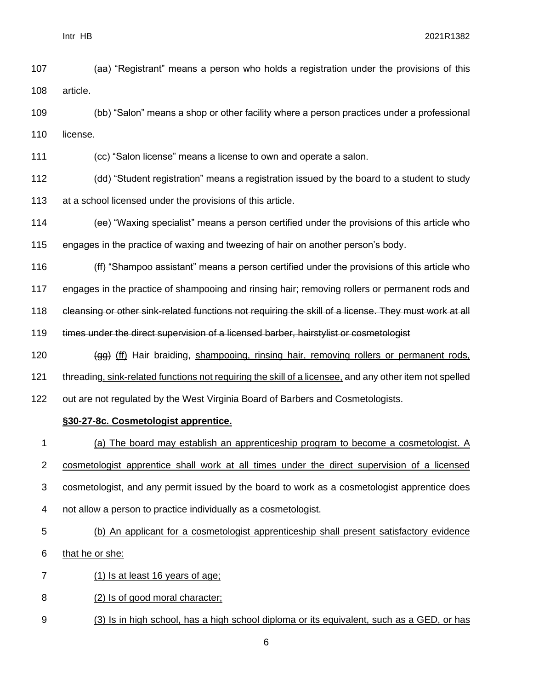- (aa) "Registrant" means a person who holds a registration under the provisions of this article.
- (bb) "Salon" means a shop or other facility where a person practices under a professional 110 license.
- (cc) "Salon license" means a license to own and operate a salon.
- (dd) "Student registration" means a registration issued by the board to a student to study 113 at a school licensed under the provisions of this article.
- (ee) "Waxing specialist" means a person certified under the provisions of this article who
- engages in the practice of waxing and tweezing of hair on another person's body.
- 116 (ff) "Shampoo assistant" means a person certified under the provisions of this article who
- engages in the practice of shampooing and rinsing hair; removing rollers or permanent rods and
- 118 eleansing or other sink-related functions not requiring the skill of a license. They must work at all
- 119 times under the direct supervision of a licensed barber, hairstylist or cosmetologist
- 120 (gg) (ff) Hair braiding, shampooing, rinsing hair, removing rollers or permanent rods,
- threading, sink-related functions not requiring the skill of a licensee, and any other item not spelled
- out are not regulated by the West Virginia Board of Barbers and Cosmetologists.

# **§30-27-8c. Cosmetologist apprentice.**

- (a) The board may establish an apprenticeship program to become a cosmetologist. A
- cosmetologist apprentice shall work at all times under the direct supervision of a licensed
- cosmetologist, and any permit issued by the board to work as a cosmetologist apprentice does
- not allow a person to practice individually as a cosmetologist.
- (b) An applicant for a cosmetologist apprenticeship shall present satisfactory evidence

## that he or she:

- (1) Is at least 16 years of age;
- (2) Is of good moral character;
- (3) Is in high school, has a high school diploma or its equivalent, such as a GED, or has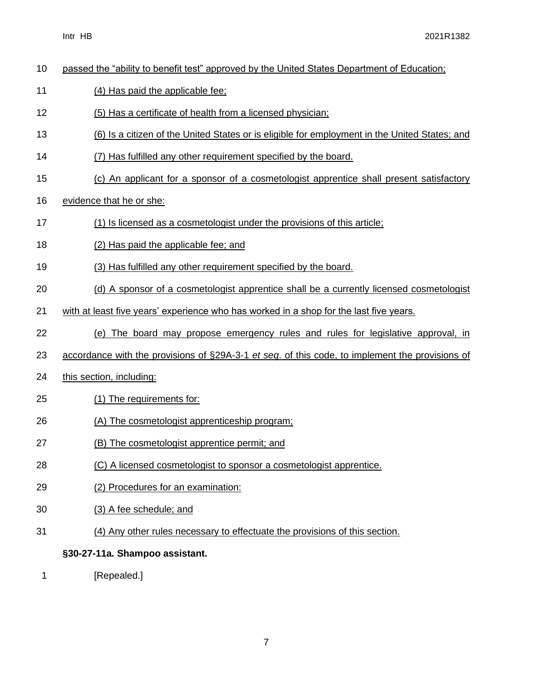| 10 | passed the "ability to benefit test" approved by the United States Department of Education;     |
|----|-------------------------------------------------------------------------------------------------|
| 11 | (4) Has paid the applicable fee;                                                                |
| 12 | (5) Has a certificate of health from a licensed physician;                                      |
| 13 | (6) Is a citizen of the United States or is eligible for employment in the United States; and   |
| 14 | (7) Has fulfilled any other requirement specified by the board.                                 |
| 15 | (c) An applicant for a sponsor of a cosmetologist apprentice shall present satisfactory         |
| 16 | evidence that he or she:                                                                        |
| 17 | (1) Is licensed as a cosmetologist under the provisions of this article;                        |
| 18 | (2) Has paid the applicable fee; and                                                            |
| 19 | (3) Has fulfilled any other requirement specified by the board.                                 |
| 20 | (d) A sponsor of a cosmetologist apprentice shall be a currently licensed cosmetologist         |
| 21 | with at least five years' experience who has worked in a shop for the last five years.          |
| 22 | (e) The board may propose emergency rules and rules for legislative approval, in                |
| 23 | accordance with the provisions of §29A-3-1 et seq. of this code, to implement the provisions of |
| 24 | this section, including:                                                                        |
| 25 | (1) The requirements for:                                                                       |
| 26 | (A) The cosmetologist apprenticeship program;                                                   |
| 27 | (B) The cosmetologist apprentice permit; and                                                    |
| 28 | (C) A licensed cosmetologist to sponsor a cosmetologist apprentice.                             |
| 29 | (2) Procedures for an examination:                                                              |
| 30 | (3) A fee schedule; and                                                                         |
| 31 | (4) Any other rules necessary to effectuate the provisions of this section.                     |
|    | §30-27-11a. Shampoo assistant.                                                                  |

1 [Repealed.]